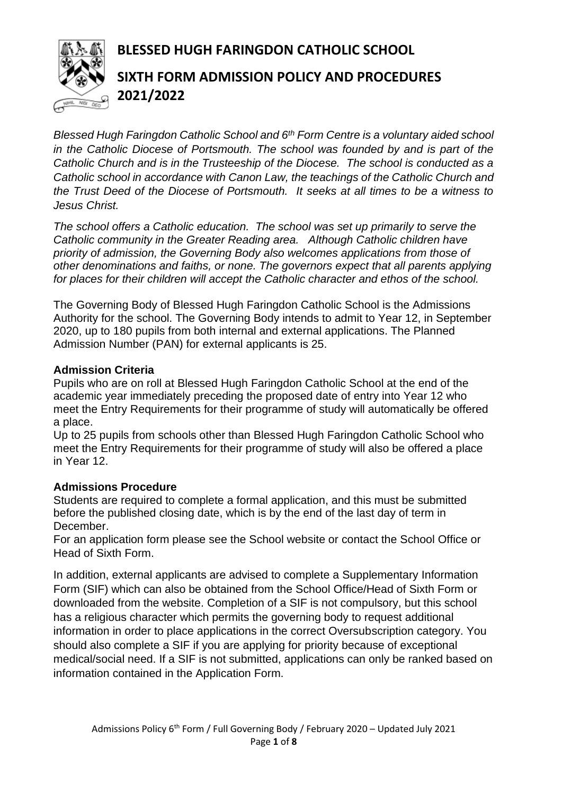# **BLESSED HUGH FARINGDON CATHOLIC SCHOOL**



# **SIXTH FORM ADMISSION POLICY AND PROCEDURES 2021/2022**

*Blessed Hugh Faringdon Catholic School and 6th Form Centre is a voluntary aided school in the Catholic Diocese of Portsmouth. The school was founded by and is part of the Catholic Church and is in the Trusteeship of the Diocese. The school is conducted as a Catholic school in accordance with Canon Law, the teachings of the Catholic Church and the Trust Deed of the Diocese of Portsmouth. It seeks at all times to be a witness to Jesus Christ.*

*The school offers a Catholic education. The school was set up primarily to serve the Catholic community in the Greater Reading area. Although Catholic children have priority of admission, the Governing Body also welcomes applications from those of other denominations and faiths, or none. The governors expect that all parents applying for places for their children will accept the Catholic character and ethos of the school.*

The Governing Body of Blessed Hugh Faringdon Catholic School is the Admissions Authority for the school. The Governing Body intends to admit to Year 12, in September 2020, up to 180 pupils from both internal and external applications. The Planned Admission Number (PAN) for external applicants is 25.

#### **Admission Criteria**

Pupils who are on roll at Blessed Hugh Faringdon Catholic School at the end of the academic year immediately preceding the proposed date of entry into Year 12 who meet the Entry Requirements for their programme of study will automatically be offered a place.

Up to 25 pupils from schools other than Blessed Hugh Faringdon Catholic School who meet the Entry Requirements for their programme of study will also be offered a place in Year 12.

### **Admissions Procedure**

Students are required to complete a formal application, and this must be submitted before the published closing date, which is by the end of the last day of term in December.

For an application form please see the School website or contact the School Office or Head of Sixth Form.

In addition, external applicants are advised to complete a Supplementary Information Form (SIF) which can also be obtained from the School Office/Head of Sixth Form or downloaded from the website. Completion of a SIF is not compulsory, but this school has a religious character which permits the governing body to request additional information in order to place applications in the correct Oversubscription category. You should also complete a SIF if you are applying for priority because of exceptional medical/social need. If a SIF is not submitted, applications can only be ranked based on information contained in the Application Form.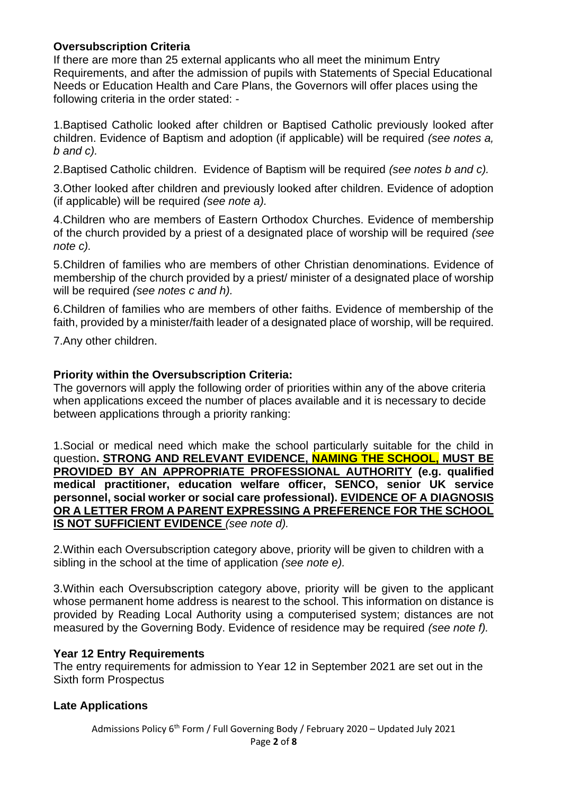### **Oversubscription Criteria**

If there are more than 25 external applicants who all meet the minimum Entry Requirements, and after the admission of pupils with Statements of Special Educational Needs or Education Health and Care Plans, the Governors will offer places using the following criteria in the order stated: -

1.Baptised Catholic looked after children or Baptised Catholic previously looked after children. Evidence of Baptism and adoption (if applicable) will be required *(see notes a, b and c).*

2.Baptised Catholic children. Evidence of Baptism will be required *(see notes b and c).*

3.Other looked after children and previously looked after children. Evidence of adoption (if applicable) will be required *(see note a).*

4.Children who are members of Eastern Orthodox Churches. Evidence of membership of the church provided by a priest of a designated place of worship will be required *(see note c).*

5.Children of families who are members of other Christian denominations. Evidence of membership of the church provided by a priest/ minister of a designated place of worship will be required *(see notes c and h).*

6.Children of families who are members of other faiths. Evidence of membership of the faith, provided by a minister/faith leader of a designated place of worship, will be required.

7.Any other children.

#### **Priority within the Oversubscription Criteria:**

The governors will apply the following order of priorities within any of the above criteria when applications exceed the number of places available and it is necessary to decide between applications through a priority ranking:

1.Social or medical need which make the school particularly suitable for the child in question**. STRONG AND RELEVANT EVIDENCE, NAMING THE SCHOOL, MUST BE PROVIDED BY AN APPROPRIATE PROFESSIONAL AUTHORITY (e.g. qualified medical practitioner, education welfare officer, SENCO, senior UK service personnel, social worker or social care professional). EVIDENCE OF A DIAGNOSIS OR A LETTER FROM A PARENT EXPRESSING A PREFERENCE FOR THE SCHOOL IS NOT SUFFICIENT EVIDENCE** *(see note d).*

2.Within each Oversubscription category above, priority will be given to children with a sibling in the school at the time of application *(see note e).* 

3.Within each Oversubscription category above, priority will be given to the applicant whose permanent home address is nearest to the school. This information on distance is provided by Reading Local Authority using a computerised system; distances are not measured by the Governing Body. Evidence of residence may be required *(see note f).*

#### **Year 12 Entry Requirements**

The entry requirements for admission to Year 12 in September 2021 are set out in the Sixth form Prospectus

### **Late Applications**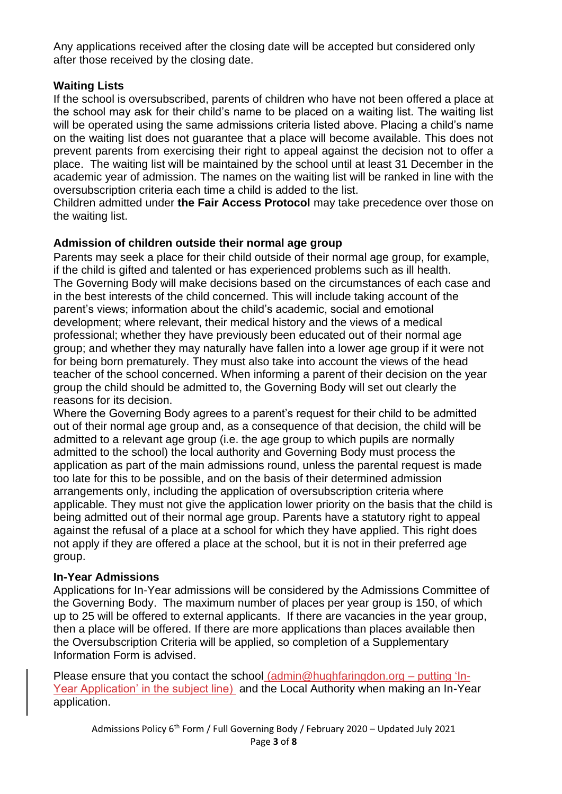Any applications received after the closing date will be accepted but considered only after those received by the closing date.

# **Waiting Lists**

If the school is oversubscribed, parents of children who have not been offered a place at the school may ask for their child's name to be placed on a waiting list. The waiting list will be operated using the same admissions criteria listed above. Placing a child's name on the waiting list does not guarantee that a place will become available. This does not prevent parents from exercising their right to appeal against the decision not to offer a place. The waiting list will be maintained by the school until at least 31 December in the academic year of admission. The names on the waiting list will be ranked in line with the oversubscription criteria each time a child is added to the list.

Children admitted under **the Fair Access Protocol** may take precedence over those on the waiting list.

# **Admission of children outside their normal age group**

Parents may seek a place for their child outside of their normal age group, for example, if the child is gifted and talented or has experienced problems such as ill health. The Governing Body will make decisions based on the circumstances of each case and in the best interests of the child concerned. This will include taking account of the parent's views; information about the child's academic, social and emotional development; where relevant, their medical history and the views of a medical professional; whether they have previously been educated out of their normal age group; and whether they may naturally have fallen into a lower age group if it were not for being born prematurely. They must also take into account the views of the head teacher of the school concerned. When informing a parent of their decision on the year group the child should be admitted to, the Governing Body will set out clearly the reasons for its decision.

Where the Governing Body agrees to a parent's request for their child to be admitted out of their normal age group and, as a consequence of that decision, the child will be admitted to a relevant age group (i.e. the age group to which pupils are normally admitted to the school) the local authority and Governing Body must process the application as part of the main admissions round, unless the parental request is made too late for this to be possible, and on the basis of their determined admission arrangements only, including the application of oversubscription criteria where applicable. They must not give the application lower priority on the basis that the child is being admitted out of their normal age group. Parents have a statutory right to appeal against the refusal of a place at a school for which they have applied. This right does not apply if they are offered a place at the school, but it is not in their preferred age group.

# **In-Year Admissions**

Applications for In-Year admissions will be considered by the Admissions Committee of the Governing Body. The maximum number of places per year group is 150, of which up to 25 will be offered to external applicants. If there are vacancies in the year group, then a place will be offered. If there are more applications than places available then the Oversubscription Criteria will be applied, so completion of a Supplementary Information Form is advised.

Please ensure that you contact the school [\(admin@hughfaringdon.org](mailto:admin@hughfaringdon.org) – putting 'In-Year Application' in the subject line) and the Local Authority when making an In-Year application.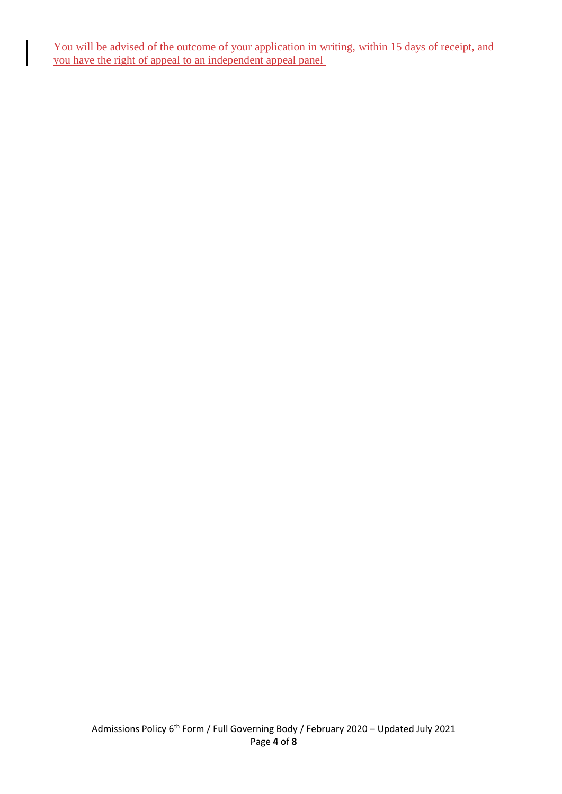You will be advised of the outcome of your application in writing, within 15 days of receipt, and you have the right of appeal to an independent appeal panel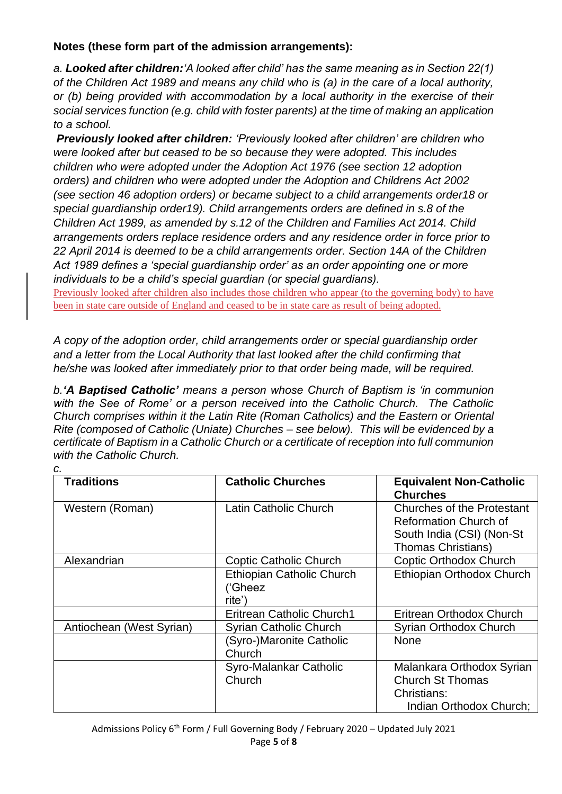### **Notes (these form part of the admission arrangements):**

*a. Looked after children:'A looked after child' has the same meaning as in Section 22(1) of the Children Act 1989 and means any child who is (a) in the care of a local authority, or (b) being provided with accommodation by a local authority in the exercise of their social services function (e.g. child with foster parents) at the time of making an application to a school.*

*Previously looked after children: 'Previously looked after children' are children who were looked after but ceased to be so because they were adopted. This includes children who were adopted under the Adoption Act 1976 (see section 12 adoption orders) and children who were adopted under the Adoption and Childrens Act 2002 (see section 46 adoption orders) or became subject to a child arrangements order18 or special guardianship order19). Child arrangements orders are defined in s.8 of the Children Act 1989, as amended by s.12 of the Children and Families Act 2014. Child arrangements orders replace residence orders and any residence order in force prior to 22 April 2014 is deemed to be a child arrangements order. Section 14A of the Children Act 1989 defines a 'special guardianship order' as an order appointing one or more individuals to be a child's special guardian (or special guardians).*

Previously looked after children also includes those children who appear (to the governing body) to have been in state care outside of England and ceased to be in state care as result of being adopted.

*A copy of the adoption order, child arrangements order or special guardianship order and a letter from the Local Authority that last looked after the child confirming that he/she was looked after immediately prior to that order being made, will be required.*

*b.'A Baptised Catholic' means a person whose Church of Baptism is 'in communion with the See of Rome' or a person received into the Catholic Church. The Catholic Church comprises within it the Latin Rite (Roman Catholics) and the Eastern or Oriental Rite (composed of Catholic (Uniate) Churches – see below). This will be evidenced by a certificate of Baptism in a Catholic Church or a certificate of reception into full communion with the Catholic Church.*

*c.*

| <b>Traditions</b>        | <b>Catholic Churches</b>                              | <b>Equivalent Non-Catholic</b><br><b>Churches</b>                                                                           |
|--------------------------|-------------------------------------------------------|-----------------------------------------------------------------------------------------------------------------------------|
| Western (Roman)          | Latin Catholic Church                                 | <b>Churches of the Protestant</b><br><b>Reformation Church of</b><br>South India (CSI) (Non-St<br><b>Thomas Christians)</b> |
| Alexandrian              | Coptic Catholic Church                                | Coptic Orthodox Church                                                                                                      |
|                          | <b>Ethiopian Catholic Church</b><br>('Gheez<br>rite') | Ethiopian Orthodox Church                                                                                                   |
|                          | <b>Eritrean Catholic Church1</b>                      | Eritrean Orthodox Church                                                                                                    |
| Antiochean (West Syrian) | Syrian Catholic Church                                | Syrian Orthodox Church                                                                                                      |
|                          | (Syro-)Maronite Catholic<br>Church                    | <b>None</b>                                                                                                                 |
|                          | Syro-Malankar Catholic<br>Church                      | Malankara Orthodox Syrian<br><b>Church St Thomas</b><br>Christians:<br>Indian Orthodox Church;                              |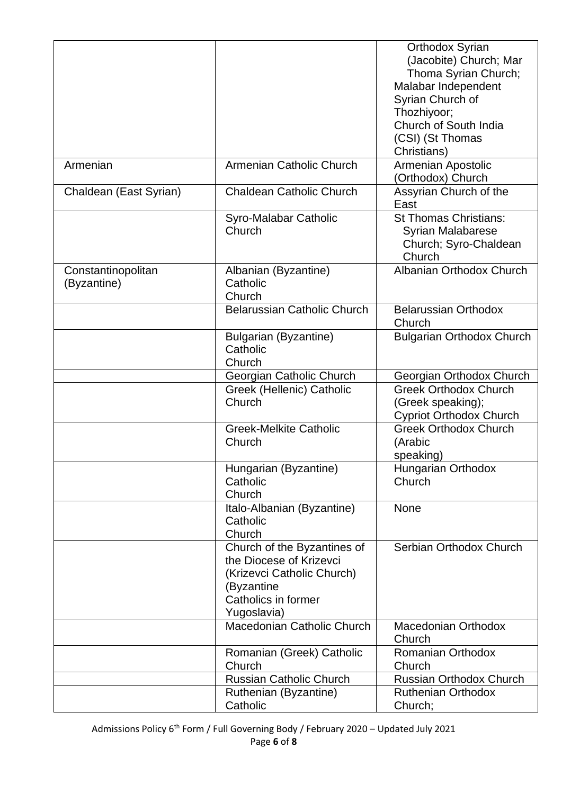|                                   |                                                                                                                                          | Orthodox Syrian<br>(Jacobite) Church; Mar<br>Thoma Syrian Church;<br>Malabar Independent    |
|-----------------------------------|------------------------------------------------------------------------------------------------------------------------------------------|---------------------------------------------------------------------------------------------|
|                                   |                                                                                                                                          | Syrian Church of<br>Thozhiyoor;<br>Church of South India<br>(CSI) (St Thomas<br>Christians) |
| Armenian                          | Armenian Catholic Church                                                                                                                 | Armenian Apostolic<br>(Orthodox) Church                                                     |
| Chaldean (East Syrian)            | <b>Chaldean Catholic Church</b>                                                                                                          | Assyrian Church of the<br>East                                                              |
|                                   | Syro-Malabar Catholic<br>Church                                                                                                          | <b>St Thomas Christians:</b><br><b>Syrian Malabarese</b><br>Church; Syro-Chaldean<br>Church |
| Constantinopolitan<br>(Byzantine) | Albanian (Byzantine)<br>Catholic<br>Church                                                                                               | Albanian Orthodox Church                                                                    |
|                                   | <b>Belarussian Catholic Church</b>                                                                                                       | <b>Belarussian Orthodox</b><br>Church                                                       |
|                                   | <b>Bulgarian (Byzantine)</b><br>Catholic<br>Church                                                                                       | <b>Bulgarian Orthodox Church</b>                                                            |
|                                   | Georgian Catholic Church                                                                                                                 | Georgian Orthodox Church                                                                    |
|                                   | Greek (Hellenic) Catholic<br>Church                                                                                                      | <b>Greek Orthodox Church</b><br>(Greek speaking);<br><b>Cypriot Orthodox Church</b>         |
|                                   | <b>Greek-Melkite Catholic</b><br>Church                                                                                                  | <b>Greek Orthodox Church</b><br>(Arabic<br>speaking)                                        |
|                                   | Hungarian (Byzantine)<br>Catholic<br>Church                                                                                              | Hungarian Orthodox<br>Church                                                                |
|                                   | Italo-Albanian (Byzantine)<br>Catholic<br>Church                                                                                         | None                                                                                        |
|                                   | Church of the Byzantines of<br>the Diocese of Krizevci<br>(Krizevci Catholic Church)<br>(Byzantine<br>Catholics in former<br>Yugoslavia) | Serbian Orthodox Church                                                                     |
|                                   | Macedonian Catholic Church                                                                                                               | <b>Macedonian Orthodox</b><br>Church                                                        |
|                                   | Romanian (Greek) Catholic<br>Church                                                                                                      | Romanian Orthodox<br>Church                                                                 |
|                                   | <b>Russian Catholic Church</b>                                                                                                           | <b>Russian Orthodox Church</b>                                                              |
|                                   | Ruthenian (Byzantine)<br>Catholic                                                                                                        | <b>Ruthenian Orthodox</b><br>Church;                                                        |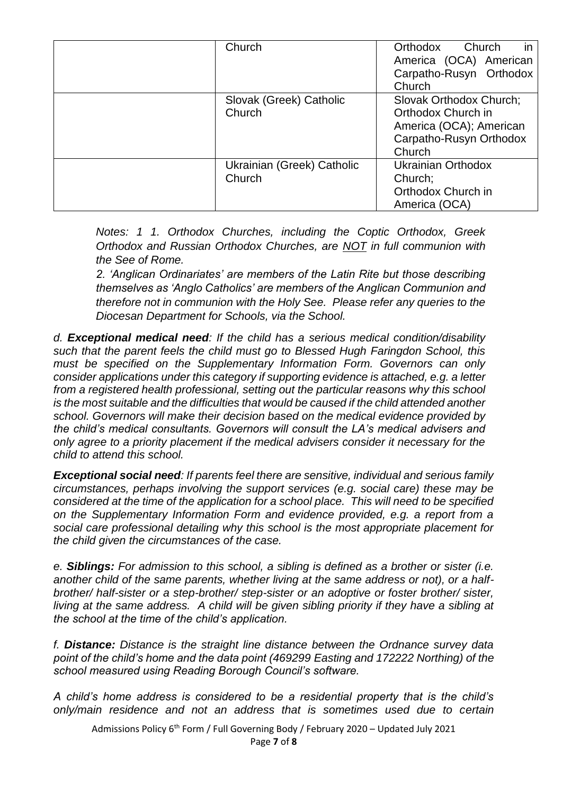| Church                               | Orthodox<br>Church<br>in<br>America (OCA) American<br>Carpatho-Rusyn Orthodox<br>Church                       |
|--------------------------------------|---------------------------------------------------------------------------------------------------------------|
| Slovak (Greek) Catholic<br>Church    | Slovak Orthodox Church;<br>Orthodox Church in<br>America (OCA); American<br>Carpatho-Rusyn Orthodox<br>Church |
| Ukrainian (Greek) Catholic<br>Church | <b>Ukrainian Orthodox</b><br>Church;<br>Orthodox Church in<br>America (OCA)                                   |

*Notes: 1 1. Orthodox Churches, including the Coptic Orthodox, Greek Orthodox and Russian Orthodox Churches, are NOT in full communion with the See of Rome.*

*2. 'Anglican Ordinariates' are members of the Latin Rite but those describing themselves as 'Anglo Catholics' are members of the Anglican Communion and therefore not in communion with the Holy See. Please refer any queries to the Diocesan Department for Schools, via the School.*

*d. Exceptional medical need: If the child has a serious medical condition/disability such that the parent feels the child must go to Blessed Hugh Faringdon School, this must be specified on the Supplementary Information Form. Governors can only consider applications under this category if supporting evidence is attached, e.g. a letter from a registered health professional, setting out the particular reasons why this school is the most suitable and the difficulties that would be caused if the child attended another school. Governors will make their decision based on the medical evidence provided by the child's medical consultants. Governors will consult the LA's medical advisers and only agree to a priority placement if the medical advisers consider it necessary for the child to attend this school.* 

*Exceptional social need: If parents feel there are sensitive, individual and serious family circumstances, perhaps involving the support services (e.g. social care) these may be considered at the time of the application for a school place. This will need to be specified on the Supplementary Information Form and evidence provided, e.g. a report from a social care professional detailing why this school is the most appropriate placement for the child given the circumstances of the case.* 

*e. Siblings: For admission to this school, a sibling is defined as a brother or sister (i.e. another child of the same parents, whether living at the same address or not), or a halfbrother/ half-sister or a step-brother/ step-sister or an adoptive or foster brother/ sister, living at the same address. A child will be given sibling priority if they have a sibling at the school at the time of the child's application.*

*f. Distance: Distance is the straight line distance between the Ordnance survey data point of the child's home and the data point (469299 Easting and 172222 Northing) of the school measured using Reading Borough Council's software.*

*A child's home address is considered to be a residential property that is the child's only/main residence and not an address that is sometimes used due to certain* 

Admissions Policy 6<sup>th</sup> Form / Full Governing Body / February 2020 – Updated July 2021